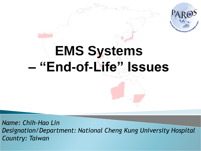

# **EMS Systems – "End-of-Life" Issues**

*Name: Chih-Hao Lin Designation/Department: National Cheng Kung University Hospital Country: Taiwan*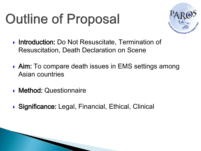# **Outline of Proposal**



- ▶ Introduction: Do Not Resuscitate, Termination of Resuscitation, Death Declaration on Scene
- ▶ Aim: To compare death issues in EMS settings among Asian countries
- **Method: Questionnaire**
- ▶ Significance: Legal, Financial, Ethical, Clinical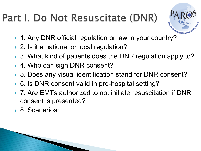### Part I. Do Not Resuscitate (DNR)



- ▶ 1. Any DNR official regulation or law in your country?
- ▶ 2. Is it a national or local regulation?
- ▶ 3. What kind of patients does the DNR regulation apply to?
- ▶ 4. Who can sign DNR consent?
- ▶ 5. Does any visual identification stand for DNR consent?
- ▶ 6. Is DNR consent valid in pre-hospital setting?
- ▶ 7. Are EMTs authorized to not initiate resuscitation if DNR consent is presented?
- ▶ 8. Scenarios: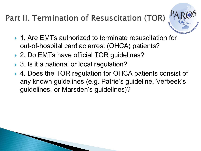#### Part II. Termination of Resuscitation (TOR)



- ▶ 1. Are EMTs authorized to terminate resuscitation for out-of-hospital cardiac arrest (OHCA) patients?
- ▶ 2. Do EMTs have official TOR guidelines?
- ▶ 3. Is it a national or local regulation?
- ▶ 4. Does the TOR regulation for OHCA patients consist of any known guidelines (e.g. Patrie's guideline, Verbeek's guidelines, or Marsden's guidelines)?